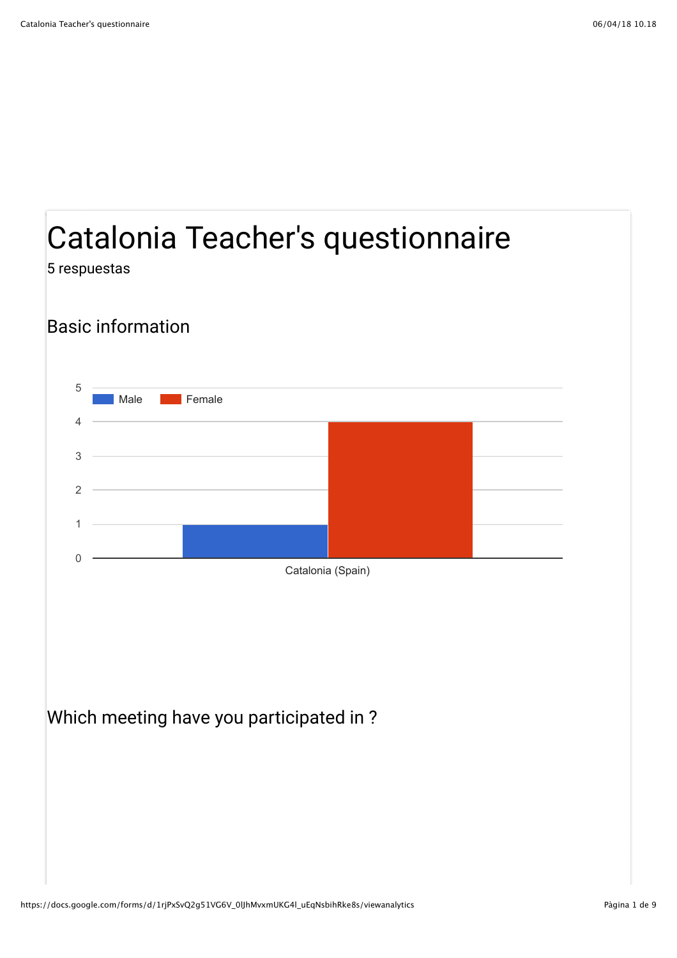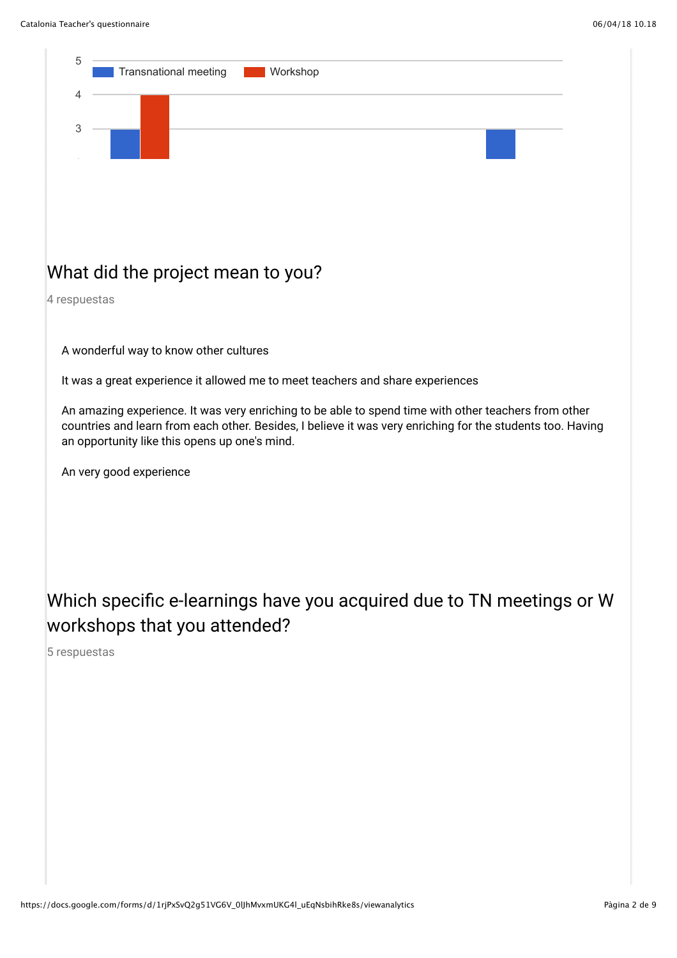

#### What did the project mean to you?

4 respuestas

A wonderful way to know other cultures

It was a great experience it allowed me to meet teachers and share experiences

An amazing experience. It was very enriching to be able to spend time with other teachers from other countries and learn from each other. Besides, I believe it was very enriching for the students too. Having an opportunity like this opens up one's mind.

An very good experience

#### Which specific e-learnings have you acquired due to TN meetings or W workshops that you attended?

5 respuestas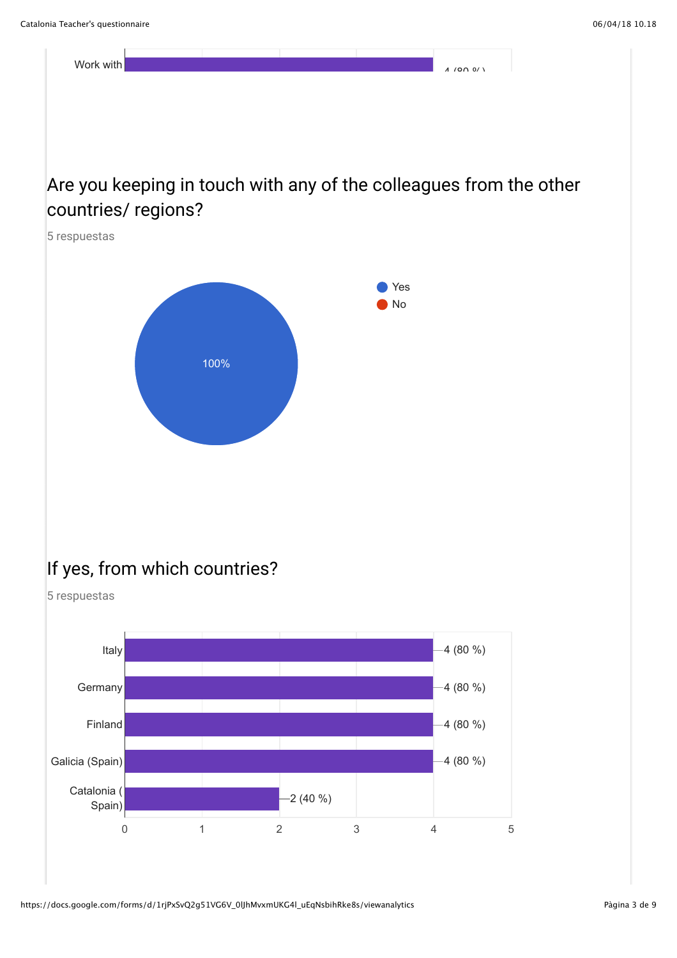

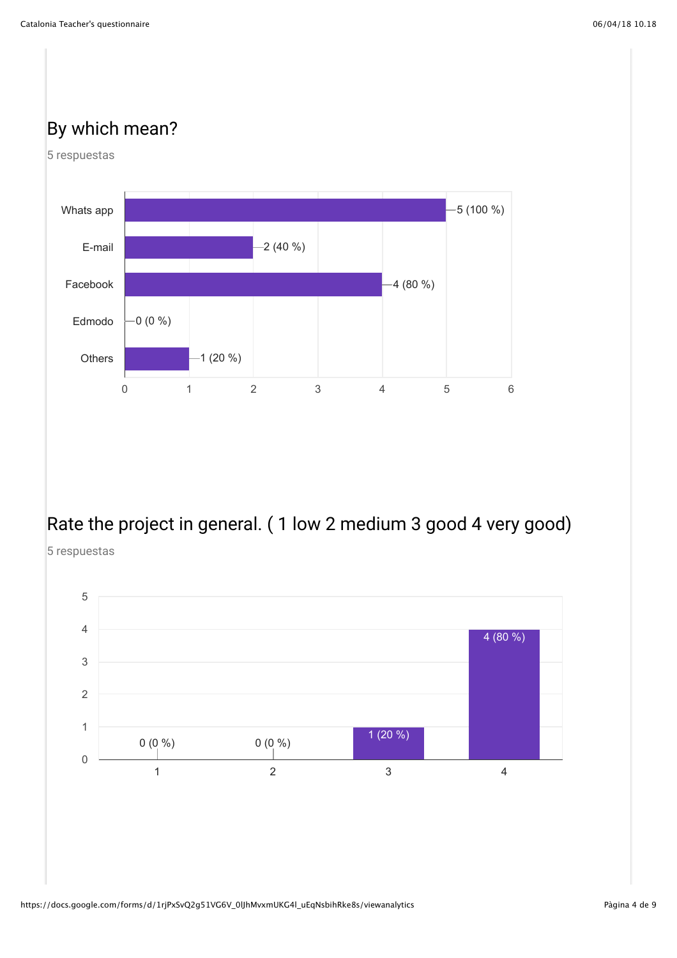# By which mean?





# Rate the project in general. ( 1 low 2 medium 3 good 4 very good)

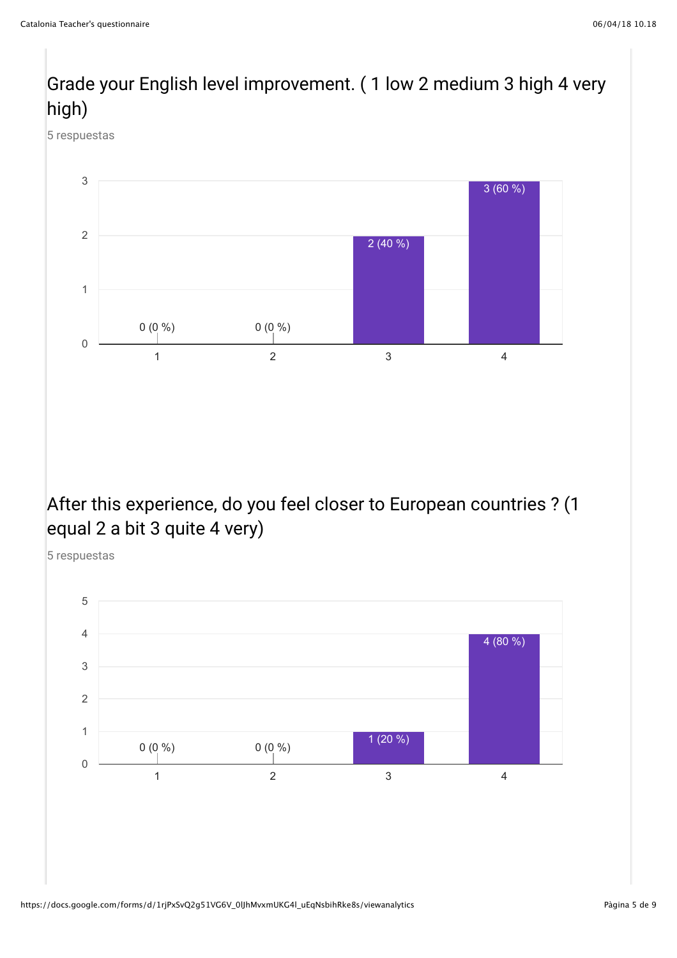# Grade your English level improvement. ( 1 low 2 medium 3 high 4 very high)

5 respuestas



#### After this experience, do you feel closer to European countries ? (1 equal 2 a bit 3 quite 4 very)

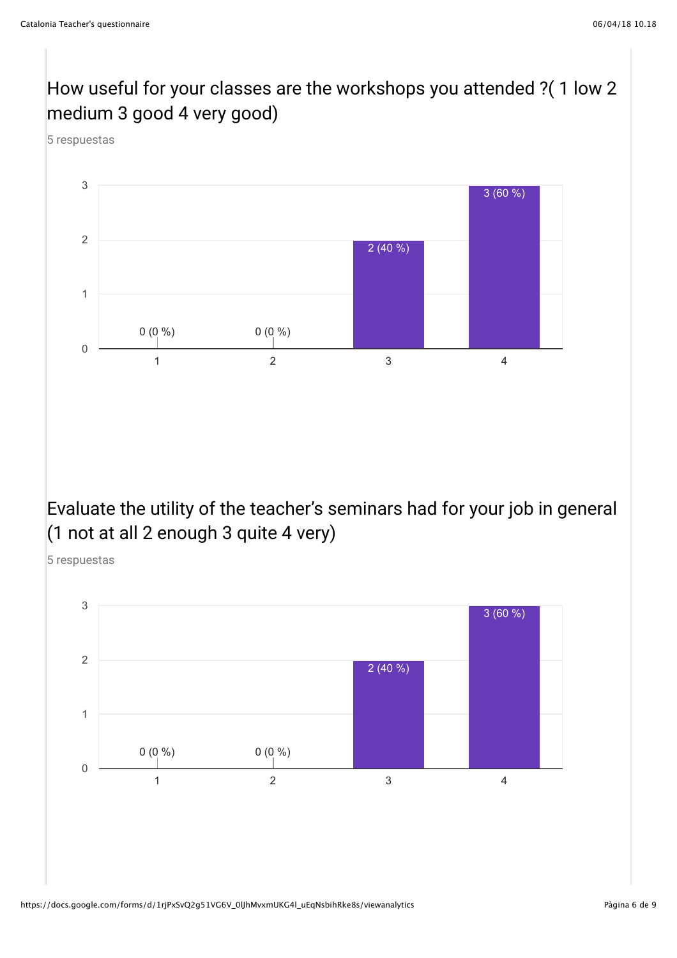# How useful for your classes are the workshops you attended ?( 1 low 2 medium 3 good 4 very good)

5 respuestas



#### Evaluate the utility of the teacher's seminars had for your job in general (1 not at all 2 enough 3 quite 4 very)

5 respuestas

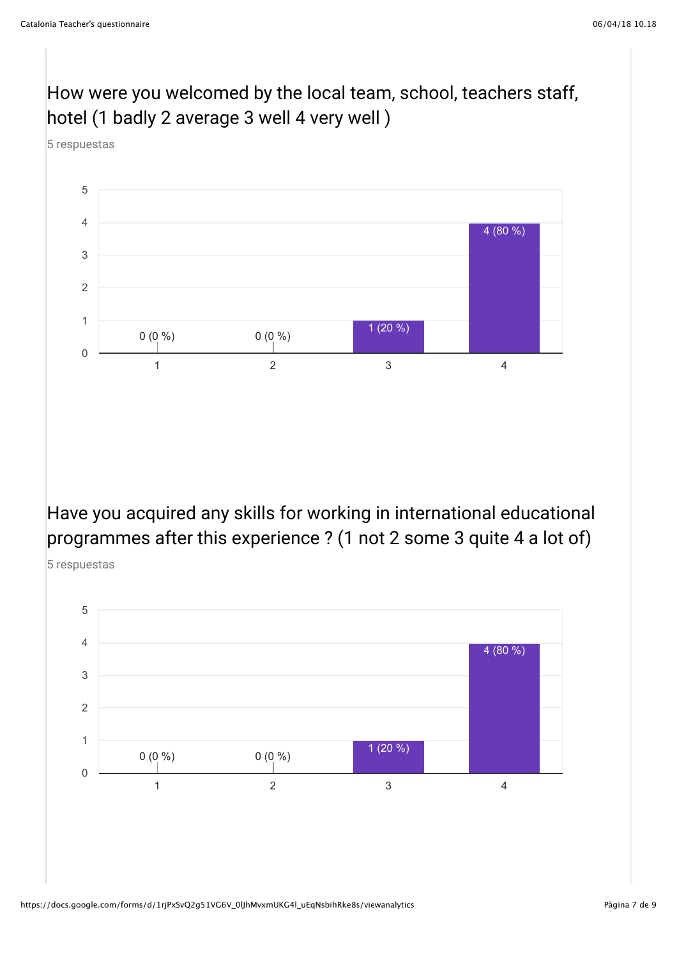5 respuestas



# How were you welcomed by the local team, school, teachers staff,

Have you acquired any skills for working in international educational programmes after this experience ? (1 not 2 some 3 quite 4 a lot of)



https://docs.google.com/forms/d/1rjPxSvQ2g51VG6V\_0lJhMvxmUKG4l\_uEqNsbihRke8s/viewanalytics Pagina 7 de 9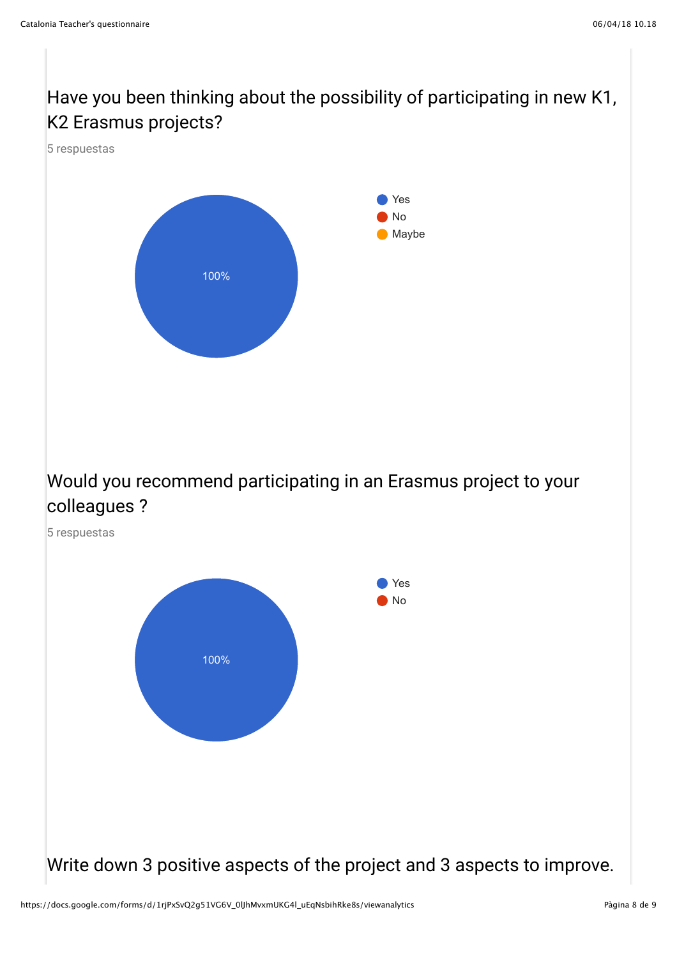Have you been thinking about the possibility of participating in new K1, K2 Erasmus projects?



Would you recommend participating in an Erasmus project to your colleagues ?